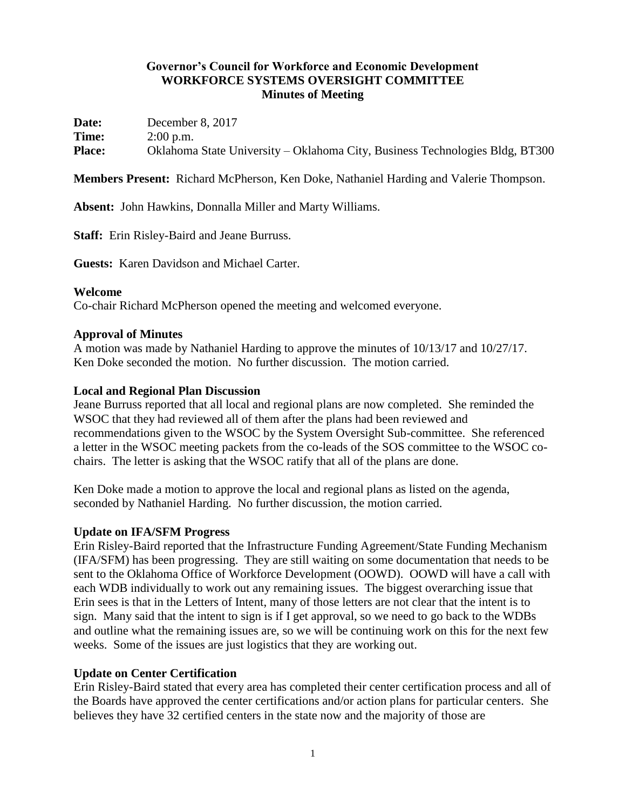## **Governor's Council for Workforce and Economic Development WORKFORCE SYSTEMS OVERSIGHT COMMITTEE Minutes of Meeting**

**Date:** December 8, 2017 **Time:** 2:00 p.m. **Place:** Oklahoma State University – Oklahoma City, Business Technologies Bldg, BT300

**Members Present:** Richard McPherson, Ken Doke, Nathaniel Harding and Valerie Thompson.

**Absent:** John Hawkins, Donnalla Miller and Marty Williams.

**Staff:** Erin Risley-Baird and Jeane Burruss.

**Guests:** Karen Davidson and Michael Carter.

#### **Welcome**

Co-chair Richard McPherson opened the meeting and welcomed everyone.

#### **Approval of Minutes**

A motion was made by Nathaniel Harding to approve the minutes of 10/13/17 and 10/27/17. Ken Doke seconded the motion. No further discussion. The motion carried.

#### **Local and Regional Plan Discussion**

Jeane Burruss reported that all local and regional plans are now completed. She reminded the WSOC that they had reviewed all of them after the plans had been reviewed and recommendations given to the WSOC by the System Oversight Sub-committee. She referenced a letter in the WSOC meeting packets from the co-leads of the SOS committee to the WSOC cochairs. The letter is asking that the WSOC ratify that all of the plans are done.

Ken Doke made a motion to approve the local and regional plans as listed on the agenda, seconded by Nathaniel Harding. No further discussion, the motion carried.

### **Update on IFA/SFM Progress**

Erin Risley-Baird reported that the Infrastructure Funding Agreement/State Funding Mechanism (IFA/SFM) has been progressing. They are still waiting on some documentation that needs to be sent to the Oklahoma Office of Workforce Development (OOWD). OOWD will have a call with each WDB individually to work out any remaining issues. The biggest overarching issue that Erin sees is that in the Letters of Intent, many of those letters are not clear that the intent is to sign. Many said that the intent to sign is if I get approval, so we need to go back to the WDBs and outline what the remaining issues are, so we will be continuing work on this for the next few weeks. Some of the issues are just logistics that they are working out.

### **Update on Center Certification**

Erin Risley-Baird stated that every area has completed their center certification process and all of the Boards have approved the center certifications and/or action plans for particular centers. She believes they have 32 certified centers in the state now and the majority of those are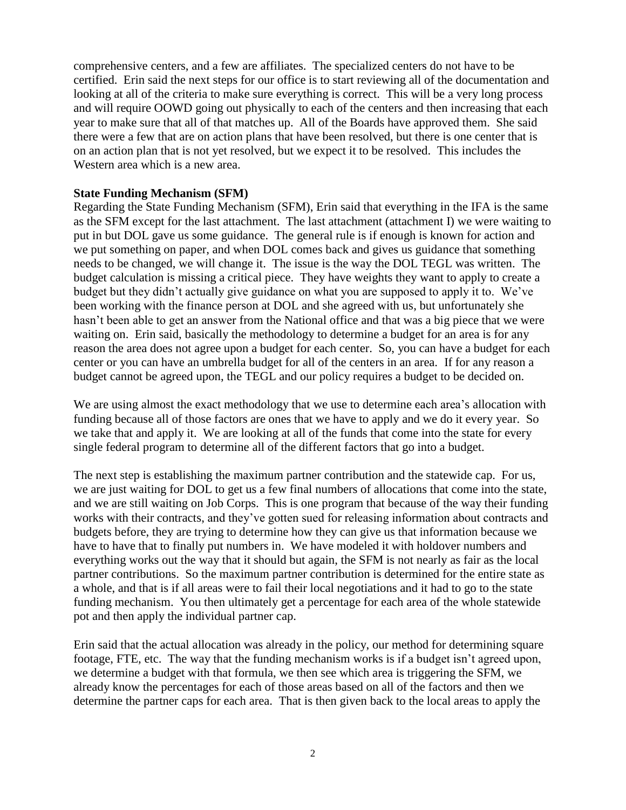comprehensive centers, and a few are affiliates. The specialized centers do not have to be certified. Erin said the next steps for our office is to start reviewing all of the documentation and looking at all of the criteria to make sure everything is correct. This will be a very long process and will require OOWD going out physically to each of the centers and then increasing that each year to make sure that all of that matches up. All of the Boards have approved them. She said there were a few that are on action plans that have been resolved, but there is one center that is on an action plan that is not yet resolved, but we expect it to be resolved. This includes the Western area which is a new area.

#### **State Funding Mechanism (SFM)**

Regarding the State Funding Mechanism (SFM), Erin said that everything in the IFA is the same as the SFM except for the last attachment. The last attachment (attachment I) we were waiting to put in but DOL gave us some guidance. The general rule is if enough is known for action and we put something on paper, and when DOL comes back and gives us guidance that something needs to be changed, we will change it. The issue is the way the DOL TEGL was written. The budget calculation is missing a critical piece. They have weights they want to apply to create a budget but they didn't actually give guidance on what you are supposed to apply it to. We've been working with the finance person at DOL and she agreed with us, but unfortunately she hasn't been able to get an answer from the National office and that was a big piece that we were waiting on. Erin said, basically the methodology to determine a budget for an area is for any reason the area does not agree upon a budget for each center. So, you can have a budget for each center or you can have an umbrella budget for all of the centers in an area. If for any reason a budget cannot be agreed upon, the TEGL and our policy requires a budget to be decided on.

We are using almost the exact methodology that we use to determine each area's allocation with funding because all of those factors are ones that we have to apply and we do it every year. So we take that and apply it. We are looking at all of the funds that come into the state for every single federal program to determine all of the different factors that go into a budget.

The next step is establishing the maximum partner contribution and the statewide cap. For us, we are just waiting for DOL to get us a few final numbers of allocations that come into the state, and we are still waiting on Job Corps. This is one program that because of the way their funding works with their contracts, and they've gotten sued for releasing information about contracts and budgets before, they are trying to determine how they can give us that information because we have to have that to finally put numbers in. We have modeled it with holdover numbers and everything works out the way that it should but again, the SFM is not nearly as fair as the local partner contributions. So the maximum partner contribution is determined for the entire state as a whole, and that is if all areas were to fail their local negotiations and it had to go to the state funding mechanism. You then ultimately get a percentage for each area of the whole statewide pot and then apply the individual partner cap.

Erin said that the actual allocation was already in the policy, our method for determining square footage, FTE, etc. The way that the funding mechanism works is if a budget isn't agreed upon, we determine a budget with that formula, we then see which area is triggering the SFM, we already know the percentages for each of those areas based on all of the factors and then we determine the partner caps for each area. That is then given back to the local areas to apply the